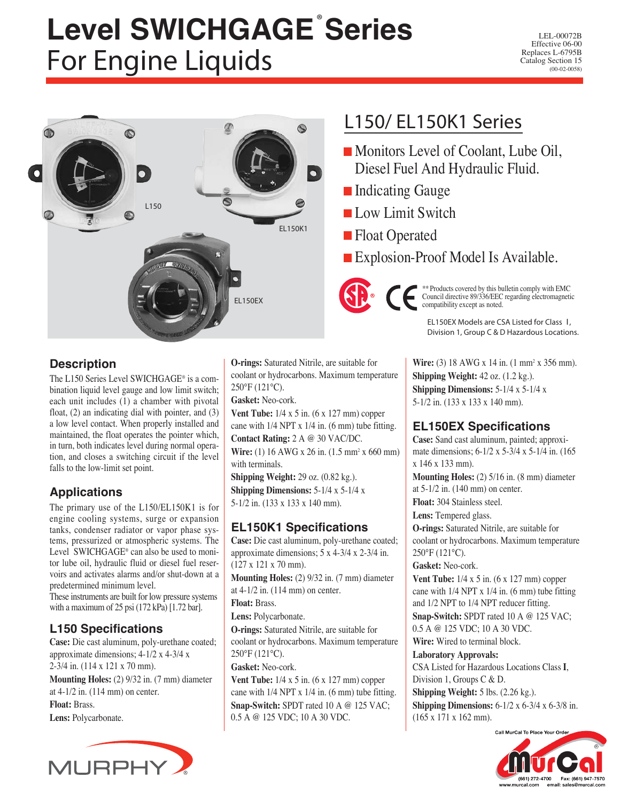# **Level SWICHGAGE**® **Series** For Engine Liquids

LEL-00072B Effective 06-00 Replaces L-6795B Catalog Section 15 (00-02-0058)



## L150/ EL150K1 Series

- Monitors Level of Coolant, Lube Oil, Diesel Fuel And Hydraulic Fluid.
- **Indicating Gauge**
- Low Limit Switch
- **Float Operated**
- Explosion-Proof Model Is Available.



\*\* Products covered by this bulletin comply with EMC Council directive 89/336/EEC regarding electromagnetic compatibility except as noted.

EL150EX Models are CSA Listed for Class I**, Division 1, Group C & D Hazardous Locations.** 

## **Description**

The L150 Series Level SWICHGAGE® is a combination liquid level gauge and low limit switch; each unit includes (1) a chamber with pivotal float, (2) an indicating dial with pointer, and (3) a low level contact. When properly installed and maintained, the float operates the pointer which, in turn, both indicates level during normal operation, and closes a switching circuit if the level falls to the low-limit set point.

## **Applications**

The primary use of the L150/EL150K1 is for engine cooling systems, surge or expansion tanks, condenser radiator or vapor phase systems, pressurized or atmospheric systems. The Level SWICHGAGE® can also be used to monitor lube oil, hydraulic fluid or diesel fuel reservoirs and activates alarms and/or shut-down at a predetermined minimum level. These instruments are built for low pressure systems

with a maximum of 25 psi (172 kPa) [1.72 bar].

## **L150 Specifications**

**Case:** Die cast aluminum, poly-urethane coated; approximate dimensions; 4-1/2 x 4-3/4 x 2-3/4 in. (114 x 121 x 70 mm). **Mounting Holes:** (2) 9/32 in. (7 mm) diameter at 4-1/2 in. (114 mm) on center. **Float:** Brass. **Lens:** Polycarbonate.



**O-rings:** Saturated Nitrile, are suitable for coolant or hydrocarbons. Maximum temperature 250°F (121°C).

**Gasket:** Neo-cork.

**Vent Tube:**  $1/4 \times 5$  in. (6 x 127 mm) copper cane with 1/4 NPT x 1/4 in. (6 mm) tube fitting. **Contact Rating:** 2 A @ 30 VAC/DC. Wire: (1) 16 AWG x 26 in. (1.5 mm<sup>2</sup> x 660 mm) with terminals.

**Shipping Weight:** 29 oz. (0.82 kg.). **Shipping Dimensions:** 5-1/4 x 5-1/4 x 5-1/2 in. (133 x 133 x 140 mm).

## **EL150K1 Specifications**

**Case:** Die cast aluminum, poly-urethane coated; approximate dimensions; 5 x 4-3/4 x 2-3/4 in. (127 x 121 x 70 mm).

**Mounting Holes:** (2) 9/32 in. (7 mm) diameter at 4-1/2 in. (114 mm) on center.

**Float:** Brass.

**Lens:** Polycarbonate.

**O-rings:** Saturated Nitrile, are suitable for coolant or hydrocarbons. Maximum temperature 250°F (121°C).

**Gasket:** Neo-cork.

**Vent Tube:**  $1/4 \times 5$  in. (6 x 127 mm) copper cane with 1/4 NPT x 1/4 in. (6 mm) tube fitting. **Snap-Switch:** SPDT rated 10 A @ 125 VAC; 0.5 A @ 125 VDC; 10 A 30 VDC.

**Wire:** (3) 18 AWG x 14 in. (1 mm<sup>2</sup> x 356 mm). **Shipping Weight:** 42 oz. (1.2 kg.). **Shipping Dimensions:** 5-1/4 x 5-1/4 x 5-1/2 in. (133 x 133 x 140 mm).

## **EL150EX Specifications**

**Case:** Sand cast aluminum, painted; approximate dimensions; 6-1/2 x 5-3/4 x 5-1/4 in. (165 x 146 x 133 mm).

**Mounting Holes:** (2) 5/16 in. (8 mm) diameter at 5-1/2 in. (140 mm) on center.

**Float:** 304 Stainless steel.

**Lens:** Tempered glass. **O-rings:** Saturated Nitrile, are suitable for coolant or hydrocarbons. Maximum temperature 250°F (121°C).

**Gasket:** Neo-cork.

**Vent Tube:** 1/4 x 5 in. (6 x 127 mm) copper cane with 1/4 NPT x 1/4 in. (6 mm) tube fitting and 1/2 NPT to 1/4 NPT reducer fitting. **Snap-Switch:** SPDT rated 10 A @ 125 VAC; 0.5 A @ 125 VDC; 10 A 30 VDC. **Wire:** Wired to terminal block.

**Laboratory Approvals:**  CSA Listed for Hazardous Locations Class **I**, Division 1, Groups C & D. **Shipping Weight:** 5 lbs. (2.26 kg.). **Shipping Dimensions:** 6-1/2 x 6-3/4 x 6-3/8 in. (165 x 171 x 162 mm).